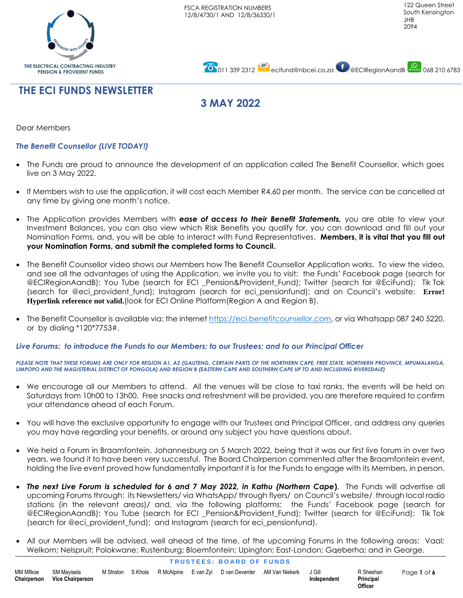





# **3 MAY 2022**

Dear Members

### *The Benefit Counsellor (LIVE TODAY!)*

- The Funds are proud to announce the development of an application called The Benefit Counsellor, which goes live on 3 May 2022.
- If Members wish to use the application, it will cost each Member R4.60 per month. The service can be cancelled at any time by giving one month's notice.
- The Application provides Members with *ease of access to their Benefit Statements,* you are able to view your Investment Balances, you can also view which Risk Benefits you qualify for, you can download and fill out your Nomination Forms, and, you will be able to interact with Fund Representatives. **Members, it is vital that you fill out your Nomination Forms, and submit the completed forms to Council.**
- The Benefit Counsellor video shows our Members how The Benefit Counsellor Application works. To view the video, and see all the advantages of using the Application, we invite you to visit: the Funds' Facebook page (search for @ECIRegionAandB); You Tube (search for ECI \_Pension&Provident\_Fund); Twitter (search for @EciFund); Tik Tok (search for @eci\_provident\_fund); Instagram (search for eci\_pensionfund); and on Council's website: **Error! Hyperlink reference not valid.**(look for ECI Online Platform(Region A and Region B).
- The Benefit Counsellor is available via: the interne[t https://eci.benefitcounsellor.com,](https://eci.benefitcounsellor.com/) or via Whatsapp 087 240 5220, or by dialing \*120\*7753#.

#### *Live Forums: to introduce the Funds to our Members; to our Trustees; and to our Principal Officer*

*PLEASE NOTE THAT THESE FORUMS ARE ONLY FOR REGION A1, A2 (GAUTENG, CERTAIN PARTS OF THE NORTHERN CAPE, FREE STATE, NORTHERN PROVINCE, MPUMALANGA, LIMPOPO AND THE MAGISTERIAL DISTRICT OF PONGOLA) AND REGION B (EASTERN CAPE AND SOUTHERN CAPE UP TO AND INCLUDING RIVERSDALE)*

- We encourage all our Members to attend. All the venues will be close to taxi ranks, the events will be held on Saturdays from 10h00 to 13h00. Free snacks and refreshment will be provided, you are therefore required to confirm your attendance ahead of each Forum.
- You will have the exclusive opportunity to engage with our Trustees and Principal Officer, and address any queries you may have regarding your benefits, or around any subject you have questions about.
- We held a Forum in Braamfontein, Johannesburg on 5 March 2022, being that it was our first live forum in over two years, we found it to have been very successful. The Board Chairperson commented after the Braamfontein event, holding the live event proved how fundamentally important it is for the Funds to engage with its Members, in person.
- *The next Live Forum is scheduled for 6 and 7 May 2022, in Kathu (Northern Cape***)**. The Funds will advertise all upcoming Forums through: its Newsletters/ via WhatsApp/ through flyers/ on Council's website/ through local radio stations (in the relevant areas)/ and, via the following platforms: the Funds' Facebook page (search for @ECIRegionAandB); You Tube (search for ECI \_Pension&Provident\_Fund); Twitter (search for @EciFund); Tik Tok (search for @eci\_provident\_fund); and Instagram (search for eci\_pensionfund).
- All our Members will be advised, well ahead of the time, of the upcoming Forums in the following areas: Vaal; Welkom; Nelspruit; Polokwane; Rustenburg; Bloemfontein; Upington; East-London; Gqeberha; and in George.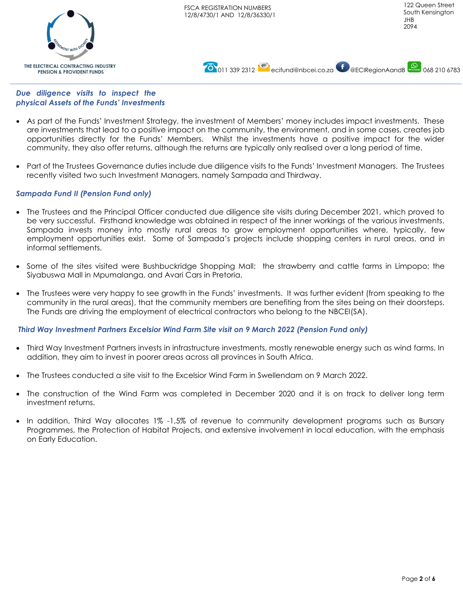

**0011 339 2312 [ecifund@nbcei.co.za](mailto:ecifund@nbcei.co.za) D** @ECIRegionAandB 068 210 6783

*Due diligence visits to inspect the physical Assets of the Funds' Investments*

THE ELECTRICAL CONTRACTING INDUSTRY **PENSION & PROVIDENT FUNDS** 

- As part of the Funds' Investment Strategy, the investment of Members' money includes impact investments. These are investments that lead to a positive impact on the community, the environment, and in some cases, creates job opportunities directly for the Funds' Members. Whilst the investments have a positive impact for the wider community, they also offer returns, although the returns are typically only realised over a long period of time.
- Part of the Trustees Governance duties include due diligence visits to the Funds' Investment Managers. The Trustees recently visited two such Investment Managers, namely Sampada and Thirdway.

# *Sampada Fund II (Pension Fund only)*

- The Trustees and the Principal Officer conducted due diligence site visits during December 2021, which proved to be very successful. Firsthand knowledge was obtained in respect of the inner workings of the various investments. Sampada invests money into mostly rural areas to grow employment opportunities where, typically, few employment opportunities exist. Some of Sampada's projects include shopping centers in rural areas, and in informal settlements.
- Some of the sites visited were Bushbuckridge Shopping Mall; the strawberry and cattle farms in Limpopo; the Siyabuswa Mall in Mpumalanga, and Avari Cars in Pretoria.
- The Trustees were very happy to see growth in the Funds' investments. It was further evident (from speaking to the community in the rural areas), that the community members are benefiting from the sites being on their doorsteps. The Funds are driving the employment of electrical contractors who belong to the NBCEI(SA).

# *Third Way Investment Partners Excelsior Wind Farm Site visit on 9 March 2022 (Pension Fund only)*

- Third Way Investment Partners invests in infrastructure investments, mostly renewable energy such as wind farms. In addition, they aim to invest in poorer areas across all provinces in South Africa.
- The Trustees conducted a site visit to the Excelsior Wind Farm in Swellendam on 9 March 2022.
- The construction of the Wind Farm was completed in December 2020 and it is on track to deliver long term investment returns.
- In addition, Third Way allocates 1% -1,5% of revenue to community development programs such as Bursary Programmes, the Protection of Habitat Projects, and extensive involvement in local education, with the emphasis on Early Education.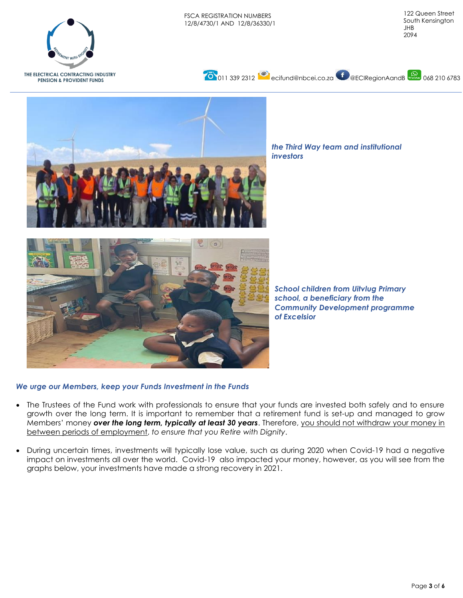

THE ELECTRICAL CONTRACTING INDUSTRY **PENSION & PROVIDENT FUNDS** 





*the Third Way team and institutional investors*



*School children from Uitvlug Primary school, a beneficiary from the Community Development programme of Excelsior*

## *We urge our Members, keep your Funds Investment in the Funds*

- The Trustees of the Fund work with professionals to ensure that your funds are invested both safely and to ensure growth over the long term. It is important to remember that a retirement fund is set-up and managed to grow Members' money *over the long term, typically at least 30 years*. Therefore, you should not withdraw your money in between periods of employment, *to ensure that you Retire with Dignity*.
- During uncertain times, investments will typically lose value, such as during 2020 when Covid-19 had a negative impact on investments all over the world. Covid-19 also impacted your money, however, as you will see from the graphs below, your investments have made a strong recovery in 2021.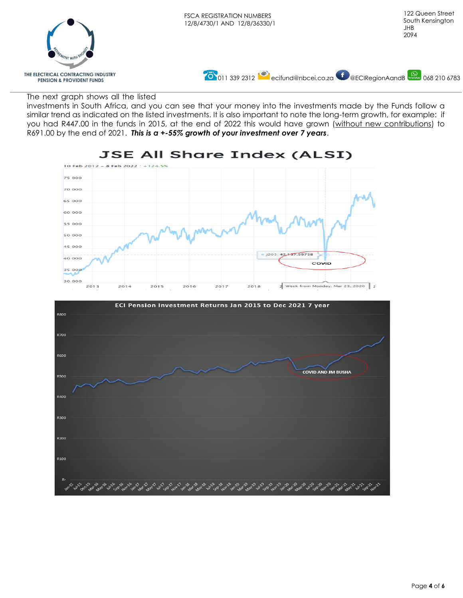

#### The next graph shows all the listed

investments in South Africa, and you can see that your money into the investments made by the Funds follow a similar trend as indicated on the listed investments. It is also important to note the long-term growth, for example: if you had R447.00 in the funds in 2015, at the end of 2022 this would have grown (without new contributions) to R691.00 by the end of 2021. *This is a +-55% growth of your investment over 7 years*.



# **JSE All Share Index (ALSI)**

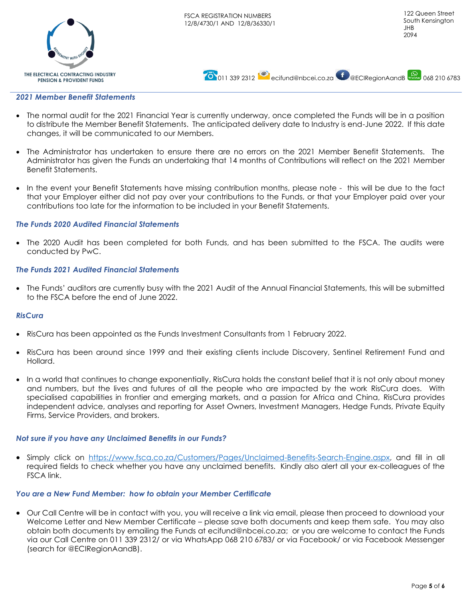



### *2021 Member Benefit Statements*

- The normal audit for the 2021 Financial Year is currently underway, once completed the Funds will be in a position to distribute the Member Benefit Statements. The anticipated delivery date to Industry is end-June 2022. If this date changes, it will be communicated to our Members.
- The Administrator has undertaken to ensure there are no errors on the 2021 Member Benefit Statements. The Administrator has given the Funds an undertaking that 14 months of Contributions will reflect on the 2021 Member Benefit Statements.
- In the event your Benefit Statements have missing contribution months, please note this will be due to the fact that your Employer either did not pay over your contributions to the Funds, or that your Employer paid over your contributions too late for the information to be included in your Benefit Statements.

## *The Funds 2020 Audited Financial Statements*

• The 2020 Audit has been completed for both Funds, and has been submitted to the FSCA. The audits were conducted by PwC.

## *The Funds 2021 Audited Financial Statements*

• The Funds' auditors are currently busy with the 2021 Audit of the Annual Financial Statements, this will be submitted to the FSCA before the end of June 2022.

#### *RisCura*

- RisCura has been appointed as the Funds Investment Consultants from 1 February 2022.
- RisCura has been around since 1999 and their existing clients include Discovery, Sentinel Retirement Fund and Hollard.
- In a world that continues to change exponentially, RisCura holds the constant belief that it is not only about money and numbers, but the lives and futures of all the people who are impacted by the work RisCura does. With specialised capabilities in frontier and emerging markets, and a passion for Africa and China, RisCura provides independent advice, analyses and reporting for Asset Owners, Investment Managers, Hedge Funds, Private Equity Firms, Service Providers, and brokers.

## *Not sure if you have any Unclaimed Benefits in our Funds?*

• Simply click on [https://www.fsca.co.za/Customers/Pages/Unclaimed-Benefits-Search-Engine.aspx,](https://www.fsca.co.za/Customers/Pages/Unclaimed-Benefits-Search-Engine.aspx) and fill in all required fields to check whether you have any unclaimed benefits. Kindly also alert all your ex-colleagues of the FSCA link.

# *You are a New Fund Member: how to obtain your Member Certificate*

• Our Call Centre will be in contact with you, you will receive a link via email, please then proceed to download your Welcome Letter and New Member Certificate – please save both documents and keep them safe. You may also obtain both documents by emailing the Funds at [ecifund@nbcei.co.za;](mailto:ecifund@nbcei.co.za) or you are welcome to contact the Funds via our Call Centre on 011 339 2312/ or via WhatsApp 068 210 6783/ or via Facebook/ or via Facebook Messenger (search for @ECIRegionAandB).